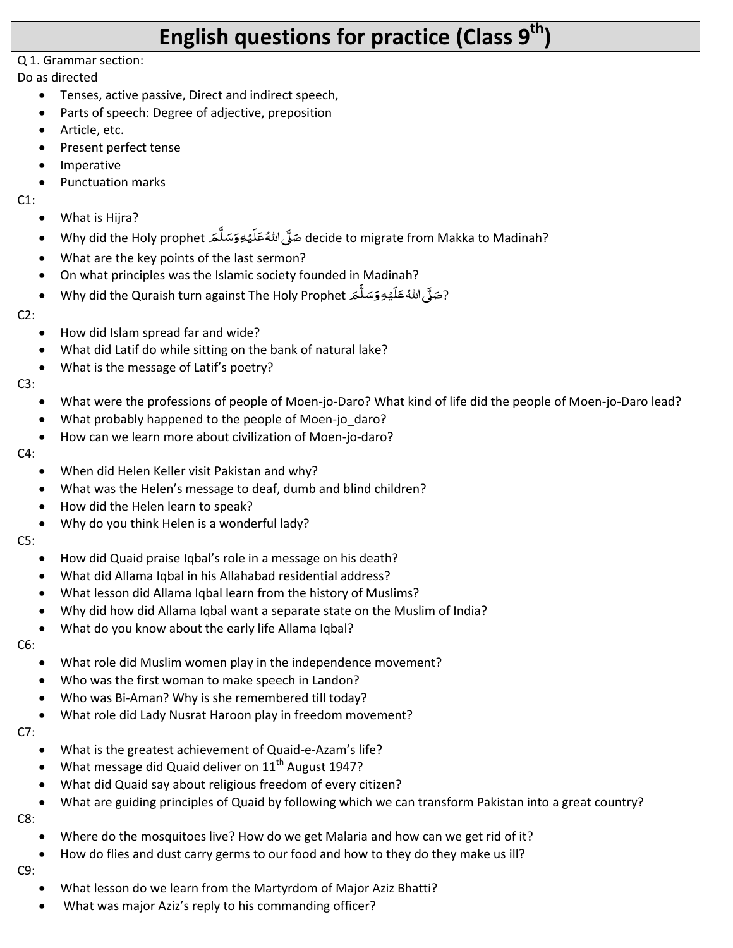# **English questions for practice (Class 9th)**

#### Q 1. Grammar section:

#### Do as directed

- Tenses, active passive, Direct and indirect speech,
- Parts of speech: Degree of adjective, preposition
- Article, etc.
- Present perfect tense
- Imperative
- Punctuation marks

#### C1:

- What is Hijra?
- e ide to migrate from Makka to Madinah?<br>decide to migrate from Makka to Madinah? َ ہے<br>آ ِّ ً<br>ہ ់<br>: .<br>آ ً<br>ءَ ََ
- What are the key points of the last sermon?
- On what principles was the Islamic society founded in Madinah?
- e Why did the Quraish turn against The Holy Prophet بحَلَّى اللهُ عَلَيْهِ وَسَلَّمَ َ ہ<br>آ ِ<br>ِ َ <u>ّ</u> ا<br>آ َ ہ<br>آ

#### C2:

- How did Islam spread far and wide?
- What did Latif do while sitting on the bank of natural lake?
- What is the message of Latif's poetry?

#### C3:

- What were the professions of people of Moen-jo-Daro? What kind of life did the people of Moen-jo-Daro lead?
- What probably happened to the people of Moen-jo\_daro?
- How can we learn more about civilization of Moen-jo-daro?

#### C4:

- When did Helen Keller visit Pakistan and why?
- What was the Helen's message to deaf, dumb and blind children?
- How did the Helen learn to speak?
- Why do you think Helen is a wonderful lady?

#### C5:

- How did Quaid praise Iqbal's role in a message on his death?
- What did Allama Iqbal in his Allahabad residential address?
- What lesson did Allama Iqbal learn from the history of Muslims?
- Why did how did Allama Iqbal want a separate state on the Muslim of India?
- What do you know about the early life Allama Iqbal?

# C6:

- What role did Muslim women play in the independence movement?
- Who was the first woman to make speech in Landon?
- Who was Bi-Aman? Why is she remembered till today?
- What role did Lady Nusrat Haroon play in freedom movement?

#### C7:

- What is the greatest achievement of Quaid-e-Azam's life?
- What message did Quaid deliver on  $11<sup>th</sup>$  August 1947?
- What did Quaid say about religious freedom of every citizen?
- What are guiding principles of Quaid by following which we can transform Pakistan into a great country?

# C8:

- Where do the mosquitoes live? How do we get Malaria and how can we get rid of it?
- How do flies and dust carry germs to our food and how to they do they make us ill?

# C9:

- What lesson do we learn from the Martyrdom of Major Aziz Bhatti?
- What was major Aziz's reply to his commanding officer?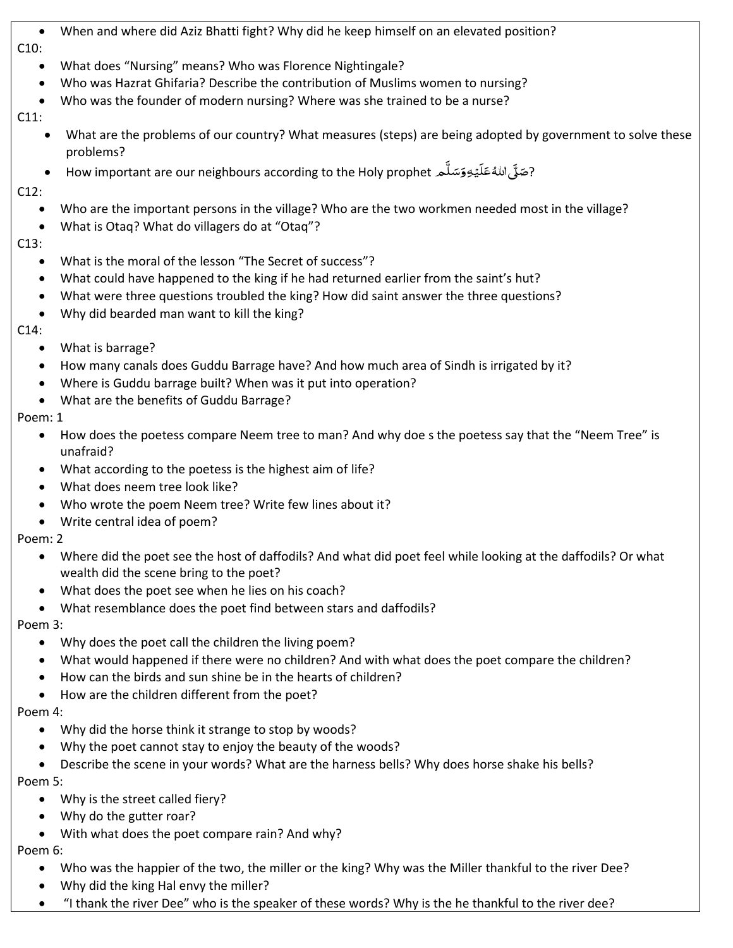- When and where did Aziz Bhatti fight? Why did he keep himself on an elevated position? C10:
	- What does "Nursing" means? Who was Florence Nightingale?
	- Who was Hazrat Ghifaria? Describe the contribution of Muslims women to nursing?
	- Who was the founder of modern nursing? Where was she trained to be a nurse?

# C11:

- What are the problems of our country? What measures (steps) are being adopted by government to solve these problems?
- How important are our neighbours according to the Holy prophet مَسَلَّ منَّهَ عَلَيْهِ ہ<br>آ ِ<br>ِ ً<br>پ ់<br>ខែ ً<br>آ ً<br>ءَ ہ<br>آ

# C12:

- Who are the important persons in the village? Who are the two workmen needed most in the village?
- What is Otaq? What do villagers do at "Otaq"?

# C13:

- What is the moral of the lesson "The Secret of success"?
- What could have happened to the king if he had returned earlier from the saint's hut?
- What were three questions troubled the king? How did saint answer the three questions?
- Why did bearded man want to kill the king?

#### C14:

- What is barrage?
- How many canals does Guddu Barrage have? And how much area of Sindh is irrigated by it?
- Where is Guddu barrage built? When was it put into operation?
- What are the benefits of Guddu Barrage?

# Poem: 1

- How does the poetess compare Neem tree to man? And why doe s the poetess say that the "Neem Tree" is unafraid?
- What according to the poetess is the highest aim of life?
- What does neem tree look like?
- Who wrote the poem Neem tree? Write few lines about it?
- Write central idea of poem?

# Poem: 2

- Where did the poet see the host of daffodils? And what did poet feel while looking at the daffodils? Or what wealth did the scene bring to the poet?
- What does the poet see when he lies on his coach?
- What resemblance does the poet find between stars and daffodils?

# Poem 3:

- Why does the poet call the children the living poem?
- What would happened if there were no children? And with what does the poet compare the children?
- How can the birds and sun shine be in the hearts of children?
- How are the children different from the poet?

# Poem 4:

- Why did the horse think it strange to stop by woods?
- Why the poet cannot stay to enjoy the beauty of the woods?
- Describe the scene in your words? What are the harness bells? Why does horse shake his bells?

# Poem 5:

- Why is the street called fiery?
- Why do the gutter roar?
- With what does the poet compare rain? And why?

# Poem 6:

- Who was the happier of the two, the miller or the king? Why was the Miller thankful to the river Dee?
- Why did the king Hal envy the miller?
- "I thank the river Dee" who is the speaker of these words? Why is the he thankful to the river dee?